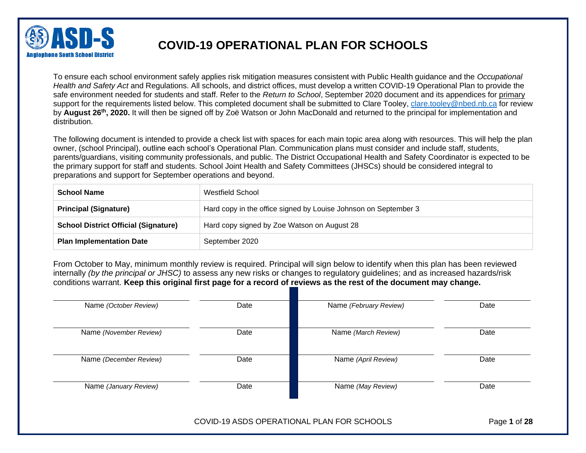

To ensure each school environment safely applies risk mitigation measures consistent with Public Health guidance and the *Occupational Health and Safety Act* and Regulations. All schools, and district offices, must develop a written COVID-19 Operational Plan to provide the safe environment needed for students and staff. Refer to the *Return to School*, September 2020 document and its appendices for primary support for the requirements listed below. This completed document shall be submitted to Clare Tooley, [clare.tooley@nbed.nb.ca](mailto:clare.tooley@nbed.nb.ca) for review by August 26<sup>th</sup>, 2020. It will then be signed off by Zoë Watson or John MacDonald and returned to the principal for implementation and distribution.

The following document is intended to provide a check list with spaces for each main topic area along with resources. This will help the plan owner, (school Principal), outline each school's Operational Plan. Communication plans must consider and include staff, students, parents/guardians, visiting community professionals, and public. The District Occupational Health and Safety Coordinator is expected to be the primary support for staff and students. School Joint Health and Safety Committees (JHSCs) should be considered integral to preparations and support for September operations and beyond.

| <b>School Name</b>                          | Westfield School                                                |
|---------------------------------------------|-----------------------------------------------------------------|
| <b>Principal (Signature)</b>                | Hard copy in the office signed by Louise Johnson on September 3 |
| <b>School District Official (Signature)</b> | Hard copy signed by Zoe Watson on August 28                     |
| <b>Plan Implementation Date</b>             | September 2020                                                  |

From October to May, minimum monthly review is required. Principal will sign below to identify when this plan has been reviewed internally *(by the principal or JHSC)* to assess any new risks or changes to regulatory guidelines; and as increased hazards/risk conditions warrant. **Keep this original first page for a record of reviews as the rest of the document may change.**

| Name (October Review)  | Date | Name (February Review) | Date |
|------------------------|------|------------------------|------|
| Name (November Review) | Date | Name (March Review)    | Date |
| Name (December Review) | Date | Name (April Review)    | Date |
| Name (January Review)  | Date | Name (May Review)      | Date |

COVID-19 ASDS OPERATIONAL PLAN FOR SCHOOLS Page **1** of **28**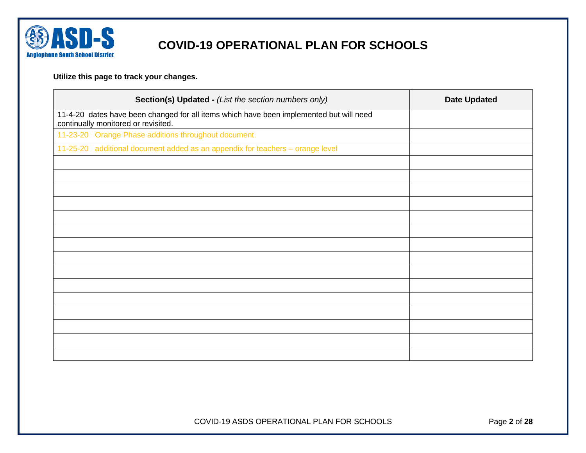

### **Utilize this page to track your changes.**

| 11-4-20 dates have been changed for all items which have been implemented but will need<br>continually monitored or revisited.<br>11-23-20 Orange Phase additions throughout document.<br>11-25-20 additional document added as an appendix for teachers - orange level | Section(s) Updated - (List the section numbers only) | <b>Date Updated</b> |
|-------------------------------------------------------------------------------------------------------------------------------------------------------------------------------------------------------------------------------------------------------------------------|------------------------------------------------------|---------------------|
|                                                                                                                                                                                                                                                                         |                                                      |                     |
|                                                                                                                                                                                                                                                                         |                                                      |                     |
|                                                                                                                                                                                                                                                                         |                                                      |                     |
|                                                                                                                                                                                                                                                                         |                                                      |                     |
|                                                                                                                                                                                                                                                                         |                                                      |                     |
|                                                                                                                                                                                                                                                                         |                                                      |                     |
|                                                                                                                                                                                                                                                                         |                                                      |                     |
|                                                                                                                                                                                                                                                                         |                                                      |                     |
|                                                                                                                                                                                                                                                                         |                                                      |                     |
|                                                                                                                                                                                                                                                                         |                                                      |                     |
|                                                                                                                                                                                                                                                                         |                                                      |                     |
|                                                                                                                                                                                                                                                                         |                                                      |                     |
|                                                                                                                                                                                                                                                                         |                                                      |                     |
|                                                                                                                                                                                                                                                                         |                                                      |                     |
|                                                                                                                                                                                                                                                                         |                                                      |                     |
|                                                                                                                                                                                                                                                                         |                                                      |                     |
|                                                                                                                                                                                                                                                                         |                                                      |                     |
|                                                                                                                                                                                                                                                                         |                                                      |                     |

COVID-19 ASDS OPERATIONAL PLAN FOR SCHOOLS Page **2** of **28**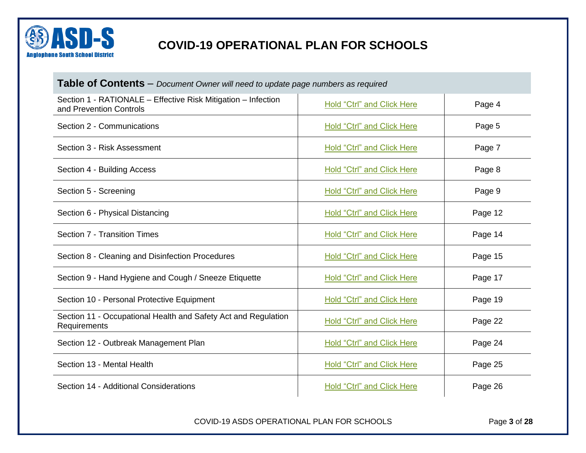

| <b>Table of Contents</b> – Document Owner will need to update page numbers as required   |                                   |         |  |
|------------------------------------------------------------------------------------------|-----------------------------------|---------|--|
| Section 1 - RATIONALE - Effective Risk Mitigation - Infection<br>and Prevention Controls | <b>Hold "Ctrl" and Click Here</b> | Page 4  |  |
| Section 2 - Communications                                                               | <b>Hold "Ctrl" and Click Here</b> | Page 5  |  |
| Section 3 - Risk Assessment                                                              | <b>Hold "Ctrl" and Click Here</b> | Page 7  |  |
| Section 4 - Building Access                                                              | <b>Hold "Ctrl" and Click Here</b> | Page 8  |  |
| Section 5 - Screening                                                                    | <b>Hold "Ctrl" and Click Here</b> | Page 9  |  |
| Section 6 - Physical Distancing                                                          | <b>Hold "Ctrl" and Click Here</b> | Page 12 |  |
| Section 7 - Transition Times                                                             | <b>Hold "Ctrl" and Click Here</b> | Page 14 |  |
| Section 8 - Cleaning and Disinfection Procedures                                         | <b>Hold "Ctrl" and Click Here</b> | Page 15 |  |
| Section 9 - Hand Hygiene and Cough / Sneeze Etiquette                                    | Hold "Ctrl" and Click Here        | Page 17 |  |
| Section 10 - Personal Protective Equipment                                               | <b>Hold "Ctrl" and Click Here</b> | Page 19 |  |
| Section 11 - Occupational Health and Safety Act and Regulation<br>Requirements           | <b>Hold "Ctrl" and Click Here</b> | Page 22 |  |
| Section 12 - Outbreak Management Plan                                                    | <b>Hold "Ctrl" and Click Here</b> | Page 24 |  |
| Section 13 - Mental Health                                                               | <b>Hold "Ctrl" and Click Here</b> | Page 25 |  |
| Section 14 - Additional Considerations                                                   | <b>Hold "Ctrl" and Click Here</b> | Page 26 |  |

COVID-19 ASDS OPERATIONAL PLAN FOR SCHOOLS Page **3** of **28**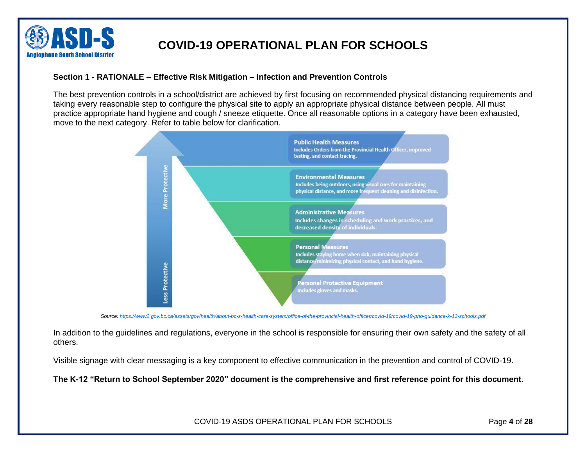

### <span id="page-3-0"></span>**Section 1 - RATIONALE – Effective Risk Mitigation – Infection and Prevention Controls**

The best prevention controls in a school/district are achieved by first focusing on recommended physical distancing requirements and taking every reasonable step to configure the physical site to apply an appropriate physical distance between people. All must practice appropriate hand hygiene and cough / sneeze etiquette. Once all reasonable options in a category have been exhausted, move to the next category. Refer to table below for clarification.



*Source:<https://www2.gov.bc.ca/assets/gov/health/about-bc-s-health-care-system/office-of-the-provincial-health-officer/covid-19/covid-19-pho-guidance-k-12-schools.pdf>*

In addition to the guidelines and regulations, everyone in the school is responsible for ensuring their own safety and the safety of all others.

Visible signage with clear messaging is a key component to effective communication in the prevention and control of COVID-19.

**The K-12 "Return to School September 2020" document is the comprehensive and first reference point for this document.**

COVID-19 ASDS OPERATIONAL PLAN FOR SCHOOLS Page **4** of **28**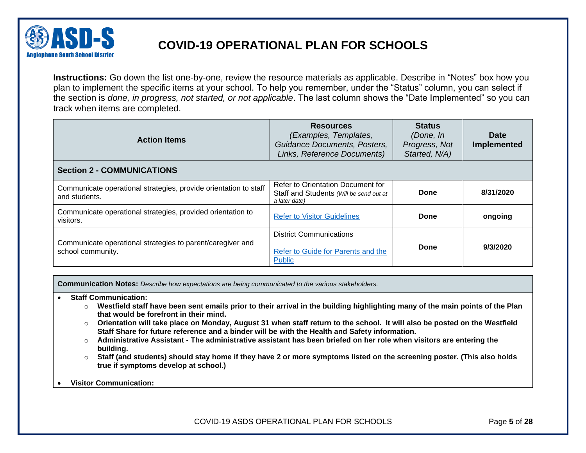

**Instructions:** Go down the list one-by-one, review the resource materials as applicable. Describe in "Notes" box how you plan to implement the specific items at your school. To help you remember, under the "Status" column, you can select if the section is *done, in progress, not started, or not applicable*. The last column shows the "Date Implemented" so you can track when items are completed.

<span id="page-4-0"></span>

| <b>Action Items</b>                                                               | <b>Resources</b><br>(Examples, Templates,<br>Guidance Documents, Posters,<br>Links, Reference Documents) | <b>Status</b><br>(Done, In<br>Progress, Not<br>Started, N/A) | <b>Date</b><br><b>Implemented</b> |
|-----------------------------------------------------------------------------------|----------------------------------------------------------------------------------------------------------|--------------------------------------------------------------|-----------------------------------|
| <b>Section 2 - COMMUNICATIONS</b>                                                 |                                                                                                          |                                                              |                                   |
| Communicate operational strategies, provide orientation to staff<br>and students. | Refer to Orientation Document for<br>Staff and Students (Will be send out at<br>a later date)            | Done                                                         | 8/31/2020                         |
| Communicate operational strategies, provided orientation to<br>visitors.          | <b>Refer to Visitor Guidelines</b>                                                                       | Done                                                         | ongoing                           |
| Communicate operational strategies to parent/caregiver and<br>school community.   | <b>District Communications</b><br>Refer to Guide for Parents and the<br><b>Public</b>                    | Done                                                         | 9/3/2020                          |

**Communication Notes:** *Describe how expectations are being communicated to the various stakeholders.*

- **Staff Communication:** 
	- o **Westfield staff have been sent emails prior to their arrival in the building highlighting many of the main points of the Plan that would be forefront in their mind.**
	- o **Orientation will take place on Monday, August 31 when staff return to the school. It will also be posted on the Westfield Staff Share for future reference and a binder will be with the Health and Safety information.**
	- o **Administrative Assistant - The administrative assistant has been briefed on her role when visitors are entering the building.**
	- o **Staff (and students) should stay home if they have 2 or more symptoms listed on the screening poster. (This also holds true if symptoms develop at school.)**

#### • **Visitor Communication:**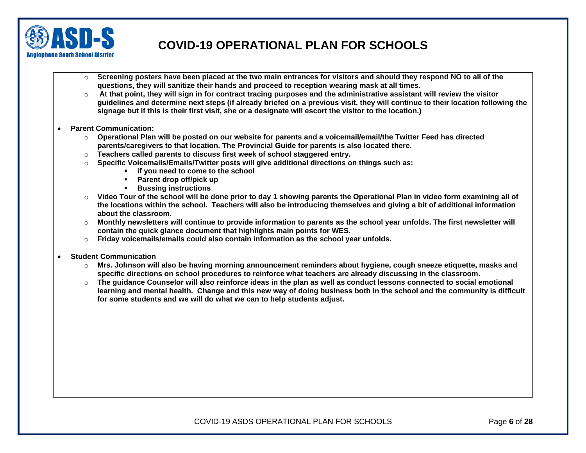

- o **Screening posters have been placed at the two main entrances for visitors and should they respond NO to all of the questions, they will sanitize their hands and proceed to reception wearing mask at all times.**
- o **At that point, they will sign in for contract tracing purposes and the administrative assistant will review the visitor guidelines and determine next steps (if already briefed on a previous visit, they will continue to their location following the signage but if this is their first visit, she or a designate will escort the visitor to the location.)**
- **Parent Communication:** 
	- o **Operational Plan will be posted on our website for parents and a voicemail/email/the Twitter Feed has directed parents/caregivers to that location. The Provincial Guide for parents is also located there.**
	- o **Teachers called parents to discuss first week of school staggered entry.**
	- o **Specific Voicemails/Emails/Twitter posts will give additional directions on things such as:**
		- **if you need to come to the school**
		- **Parent drop off/pick up**
		- **Bussing instructions**
	- o **Video Tour of the school will be done prior to day 1 showing parents the Operational Plan in video form examining all of the locations within the school. Teachers will also be introducing themselves and giving a bit of additional information about the classroom.**
	- o **Monthly newsletters will continue to provide information to parents as the school year unfolds. The first newsletter will contain the quick glance document that highlights main points for WES.**
	- o **Friday voicemails/emails could also contain information as the school year unfolds.**
- **Student Communication**
	- o **Mrs. Johnson will also be having morning announcement reminders about hygiene, cough sneeze etiquette, masks and specific directions on school procedures to reinforce what teachers are already discussing in the classroom.**
	- o **The guidance Counselor will also reinforce ideas in the plan as well as conduct lessons connected to social emotional learning and mental health. Change and this new way of doing business both in the school and the community is difficult for some students and we will do what we can to help students adjust.**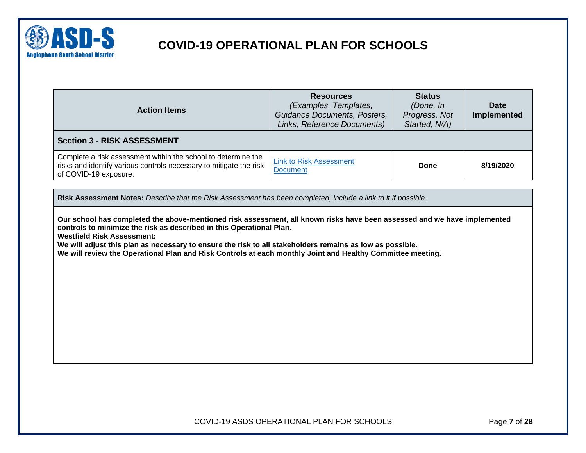

<span id="page-6-0"></span>

| <b>Action Items</b>                                                                                                                                                                                                                                         | <b>Resources</b><br>(Examples, Templates,<br>Guidance Documents, Posters,<br>Links, Reference Documents) | <b>Status</b><br>(Done, In<br>Progress, Not<br>Started, N/A) | <b>Date</b><br><b>Implemented</b> |
|-------------------------------------------------------------------------------------------------------------------------------------------------------------------------------------------------------------------------------------------------------------|----------------------------------------------------------------------------------------------------------|--------------------------------------------------------------|-----------------------------------|
| <b>Section 3 - RISK ASSESSMENT</b>                                                                                                                                                                                                                          |                                                                                                          |                                                              |                                   |
| Complete a risk assessment within the school to determine the<br>risks and identify various controls necessary to mitigate the risk<br>of COVID-19 exposure.                                                                                                | <b>Link to Risk Assessment</b><br><b>Document</b>                                                        | Done                                                         | 8/19/2020                         |
| Our school has completed the above-mentioned risk assessment, all known risks have been assessed and we have implemented<br>controls to minimize the risk as described in this Operational Plan.                                                            |                                                                                                          |                                                              |                                   |
| <b>Westfield Risk Assessment:</b><br>We will adjust this plan as necessary to ensure the risk to all stakeholders remains as low as possible.<br>We will review the Operational Plan and Risk Controls at each monthly Joint and Healthy Committee meeting. |                                                                                                          |                                                              |                                   |

COVID-19 ASDS OPERATIONAL PLAN FOR SCHOOLS Page **7** of **28**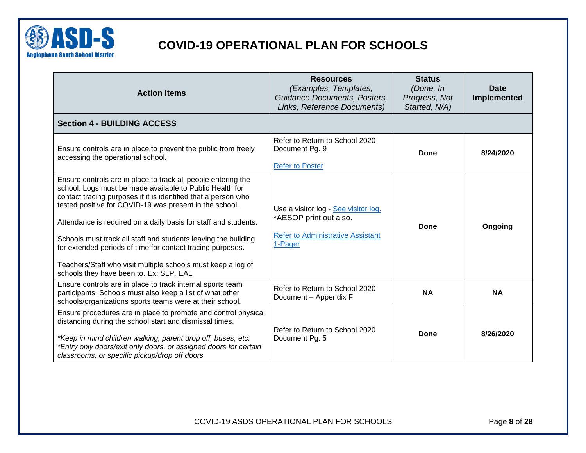

<span id="page-7-0"></span>

| <b>Action Items</b>                                                                                                                                                                                                                                                                                                                                                                                                                                                                                                                                                  | <b>Resources</b><br>(Examples, Templates,<br>Guidance Documents, Posters,<br>Links, Reference Documents)              | <b>Status</b><br>(Done, In<br>Progress, Not<br>Started, N/A) | <b>Date</b><br>Implemented |
|----------------------------------------------------------------------------------------------------------------------------------------------------------------------------------------------------------------------------------------------------------------------------------------------------------------------------------------------------------------------------------------------------------------------------------------------------------------------------------------------------------------------------------------------------------------------|-----------------------------------------------------------------------------------------------------------------------|--------------------------------------------------------------|----------------------------|
| <b>Section 4 - BUILDING ACCESS</b>                                                                                                                                                                                                                                                                                                                                                                                                                                                                                                                                   |                                                                                                                       |                                                              |                            |
| Ensure controls are in place to prevent the public from freely<br>accessing the operational school.                                                                                                                                                                                                                                                                                                                                                                                                                                                                  | Refer to Return to School 2020<br>Document Pg. 9<br><b>Refer to Poster</b>                                            | Done                                                         | 8/24/2020                  |
| Ensure controls are in place to track all people entering the<br>school. Logs must be made available to Public Health for<br>contact tracing purposes if it is identified that a person who<br>tested positive for COVID-19 was present in the school.<br>Attendance is required on a daily basis for staff and students.<br>Schools must track all staff and students leaving the building<br>for extended periods of time for contact tracing purposes.<br>Teachers/Staff who visit multiple schools must keep a log of<br>schools they have been to. Ex: SLP, EAL | Use a visitor log - See visitor log.<br>*AESOP print out also.<br><b>Refer to Administrative Assistant</b><br>1-Pager | Done                                                         | Ongoing                    |
| Ensure controls are in place to track internal sports team<br>participants. Schools must also keep a list of what other<br>schools/organizations sports teams were at their school.                                                                                                                                                                                                                                                                                                                                                                                  | Refer to Return to School 2020<br>Document - Appendix F                                                               | <b>NA</b>                                                    | <b>NA</b>                  |
| Ensure procedures are in place to promote and control physical<br>distancing during the school start and dismissal times.<br>*Keep in mind children walking, parent drop off, buses, etc.<br>*Entry only doors/exit only doors, or assigned doors for certain<br>classrooms, or specific pickup/drop off doors.                                                                                                                                                                                                                                                      | Refer to Return to School 2020<br>Document Pg. 5                                                                      | Done                                                         | 8/26/2020                  |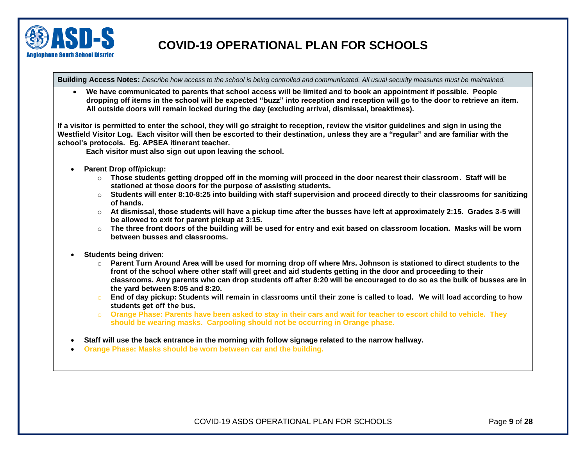

**Building Access Notes:** *Describe how access to the school is being controlled and communicated. All usual security measures must be maintained.*

• **We have communicated to parents that school access will be limited and to book an appointment if possible. People dropping off items in the school will be expected "buzz" into reception and reception will go to the door to retrieve an item. All outside doors will remain locked during the day (excluding arrival, dismissal, breaktimes).**

**If a visitor is permitted to enter the school, they will go straight to reception, review the visitor guidelines and sign in using the Westfield Visitor Log. Each visitor will then be escorted to their destination, unless they are a "regular" and are familiar with the school's protocols. Eg. APSEA itinerant teacher.**

**Each visitor must also sign out upon leaving the school.**

- **Parent Drop off/pickup:** 
	- o **Those students getting dropped off in the morning will proceed in the door nearest their classroom. Staff will be stationed at those doors for the purpose of assisting students.**
	- o **Students will enter 8:10-8:25 into building with staff supervision and proceed directly to their classrooms for sanitizing of hands.**
	- o **At dismissal, those students will have a pickup time after the busses have left at approximately 2:15. Grades 3-5 will be allowed to exit for parent pickup at 3:15.**
	- o **The three front doors of the building will be used for entry and exit based on classroom location. Masks will be worn between busses and classrooms.**
- **Students being driven:**
	- o **Parent Turn Around Area will be used for morning drop off where Mrs. Johnson is stationed to direct students to the front of the school where other staff will greet and aid students getting in the door and proceeding to their classrooms. Any parents who can drop students off after 8:20 will be encouraged to do so as the bulk of busses are in the yard between 8:05 and 8:20.**
	- o **End of day pickup: Students will remain in classrooms until their zone is called to load. We will load according to how students get off the bus.**
	- o **Orange Phase: Parents have been asked to stay in their cars and wait for teacher to escort child to vehicle. They should be wearing masks. Carpooling should not be occurring in Orange phase.**
- **Staff will use the back entrance in the morning with follow signage related to the narrow hallway.**
- **Orange Phase: Masks should be worn between car and the building.**

COVID-19 ASDS OPERATIONAL PLAN FOR SCHOOLS Page **9** of **28**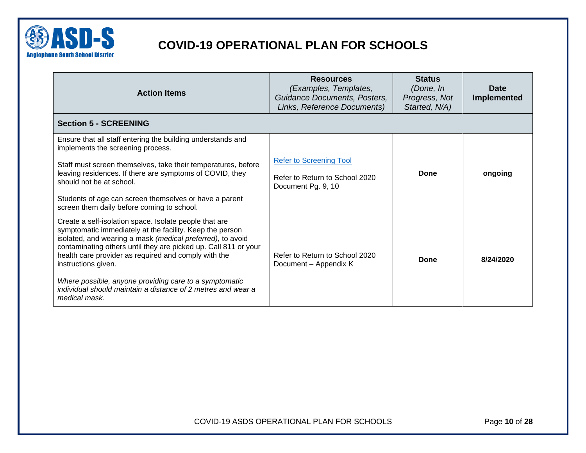

<span id="page-9-0"></span>

| <b>Action Items</b>                                                                                                                                                                                                                                                                                                                                                                                                                                                           | <b>Resources</b><br>(Examples, Templates,<br>Guidance Documents, Posters,<br>Links, Reference Documents) | <b>Status</b><br>(Done, In<br>Progress, Not<br>Started, N/A) | Date<br><b>Implemented</b> |
|-------------------------------------------------------------------------------------------------------------------------------------------------------------------------------------------------------------------------------------------------------------------------------------------------------------------------------------------------------------------------------------------------------------------------------------------------------------------------------|----------------------------------------------------------------------------------------------------------|--------------------------------------------------------------|----------------------------|
| <b>Section 5 - SCREENING</b>                                                                                                                                                                                                                                                                                                                                                                                                                                                  |                                                                                                          |                                                              |                            |
| Ensure that all staff entering the building understands and<br>implements the screening process.<br>Staff must screen themselves, take their temperatures, before<br>leaving residences. If there are symptoms of COVID, they                                                                                                                                                                                                                                                 | <b>Refer to Screening Tool</b><br>Refer to Return to School 2020                                         | Done                                                         | ongoing                    |
| should not be at school.<br>Students of age can screen themselves or have a parent<br>screen them daily before coming to school.                                                                                                                                                                                                                                                                                                                                              | Document Pg. 9, 10                                                                                       |                                                              |                            |
| Create a self-isolation space. Isolate people that are<br>symptomatic immediately at the facility. Keep the person<br>isolated, and wearing a mask (medical preferred), to avoid<br>contaminating others until they are picked up. Call 811 or your<br>health care provider as required and comply with the<br>instructions given.<br>Where possible, anyone providing care to a symptomatic<br>individual should maintain a distance of 2 metres and wear a<br>medical mask. | Refer to Return to School 2020<br>Document - Appendix K                                                  | Done                                                         | 8/24/2020                  |

COVID-19 ASDS OPERATIONAL PLAN FOR SCHOOLS Page **10** of **28**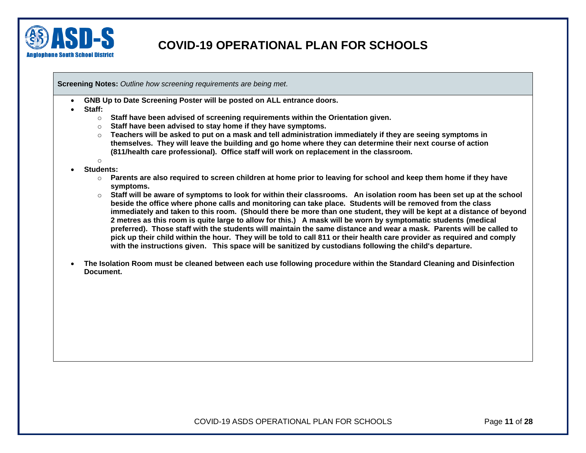

**Screening Notes:** *Outline how screening requirements are being met.*

• **GNB Up to Date Screening Poster will be posted on ALL entrance doors.** 

• **Staff:** 

- o **Staff have been advised of screening requirements within the Orientation given.**
- o **Staff have been advised to stay home if they have symptoms.**
- o **Teachers will be asked to put on a mask and tell administration immediately if they are seeing symptoms in themselves. They will leave the building and go home where they can determine their next course of action (811/health care professional). Office staff will work on replacement in the classroom.**
- o • **Students:** 
	- o **Parents are also required to screen children at home prior to leaving for school and keep them home if they have symptoms.**
	- o **Staff will be aware of symptoms to look for within their classrooms. An isolation room has been set up at the school beside the office where phone calls and monitoring can take place. Students will be removed from the class immediately and taken to this room. (Should there be more than one student, they will be kept at a distance of beyond 2 metres as this room is quite large to allow for this.) A mask will be worn by symptomatic students (medical preferred). Those staff with the students will maintain the same distance and wear a mask. Parents will be called to pick up their child within the hour. They will be told to call 811 or their health care provider as required and comply with the instructions given. This space will be sanitized by custodians following the child's departure.**
- **The Isolation Room must be cleaned between each use following procedure within the Standard Cleaning and Disinfection Document.**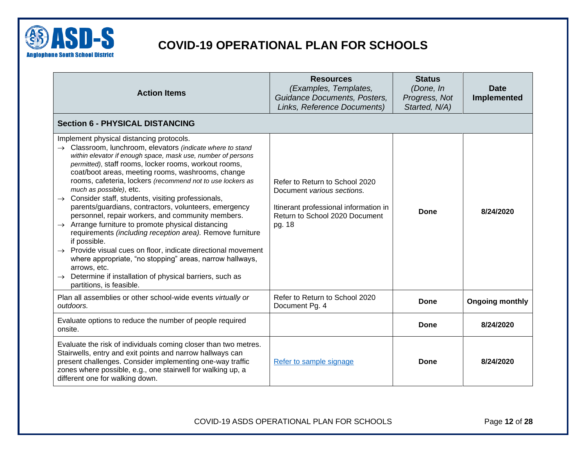

<span id="page-11-0"></span>

| <b>Action Items</b>                                                                                                                                                                                                                                                                                                                                                                                                                                                                                                                                                                                                                                                                                                                                                                                                                                                                                                                                                       | <b>Resources</b><br>(Examples, Templates,<br>Guidance Documents, Posters,<br>Links, Reference Documents)                                          | <b>Status</b><br>(Done, In<br>Progress, Not<br>Started, N/A) | <b>Date</b><br>Implemented |
|---------------------------------------------------------------------------------------------------------------------------------------------------------------------------------------------------------------------------------------------------------------------------------------------------------------------------------------------------------------------------------------------------------------------------------------------------------------------------------------------------------------------------------------------------------------------------------------------------------------------------------------------------------------------------------------------------------------------------------------------------------------------------------------------------------------------------------------------------------------------------------------------------------------------------------------------------------------------------|---------------------------------------------------------------------------------------------------------------------------------------------------|--------------------------------------------------------------|----------------------------|
| <b>Section 6 - PHYSICAL DISTANCING</b>                                                                                                                                                                                                                                                                                                                                                                                                                                                                                                                                                                                                                                                                                                                                                                                                                                                                                                                                    |                                                                                                                                                   |                                                              |                            |
| Implement physical distancing protocols.<br>$\rightarrow$ Classroom, lunchroom, elevators (indicate where to stand<br>within elevator if enough space, mask use, number of persons<br>permitted), staff rooms, locker rooms, workout rooms,<br>coat/boot areas, meeting rooms, washrooms, change<br>rooms, cafeteria, lockers (recommend not to use lockers as<br>much as possible), etc.<br>$\rightarrow$ Consider staff, students, visiting professionals,<br>parents/guardians, contractors, volunteers, emergency<br>personnel, repair workers, and community members.<br>$\rightarrow$ Arrange furniture to promote physical distancing<br>requirements (including reception area). Remove furniture<br>if possible.<br>$\rightarrow$ Provide visual cues on floor, indicate directional movement<br>where appropriate, "no stopping" areas, narrow hallways,<br>arrows, etc.<br>Determine if installation of physical barriers, such as<br>partitions, is feasible. | Refer to Return to School 2020<br>Document various sections.<br>Itinerant professional information in<br>Return to School 2020 Document<br>pg. 18 | Done                                                         | 8/24/2020                  |
| Plan all assemblies or other school-wide events virtually or<br>outdoors.                                                                                                                                                                                                                                                                                                                                                                                                                                                                                                                                                                                                                                                                                                                                                                                                                                                                                                 | Refer to Return to School 2020<br>Document Pg. 4                                                                                                  | Done                                                         | <b>Ongoing monthly</b>     |
| Evaluate options to reduce the number of people required<br>onsite.                                                                                                                                                                                                                                                                                                                                                                                                                                                                                                                                                                                                                                                                                                                                                                                                                                                                                                       |                                                                                                                                                   | <b>Done</b>                                                  | 8/24/2020                  |
| Evaluate the risk of individuals coming closer than two metres.<br>Stairwells, entry and exit points and narrow hallways can<br>present challenges. Consider implementing one-way traffic<br>zones where possible, e.g., one stairwell for walking up, a<br>different one for walking down.                                                                                                                                                                                                                                                                                                                                                                                                                                                                                                                                                                                                                                                                               | Refer to sample signage                                                                                                                           | Done                                                         | 8/24/2020                  |

COVID-19 ASDS OPERATIONAL PLAN FOR SCHOOLS Page **12** of **28**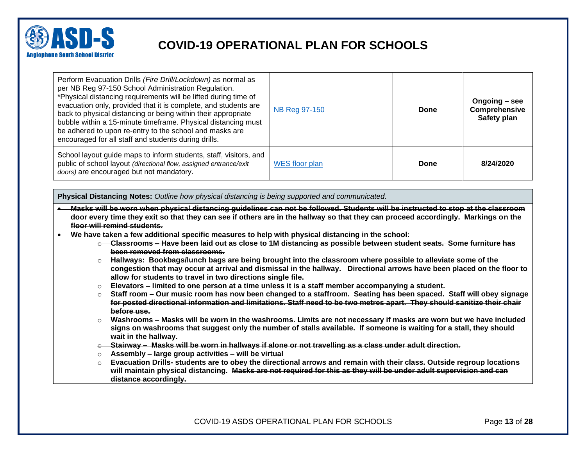

| Perform Evacuation Drills (Fire Drill/Lockdown) as normal as<br>per NB Reg 97-150 School Administration Regulation.<br>*Physical distancing requirements will be lifted during time of<br>evacuation only, provided that it is complete, and students are<br>back to physical distancing or being within their appropriate<br>bubble within a 15-minute timeframe. Physical distancing must<br>be adhered to upon re-entry to the school and masks are<br>encouraged for all staff and students during drills. | NB Reg 97-150  | Done | Ongoing – see<br>Comprehensive<br>Safety plan |
|----------------------------------------------------------------------------------------------------------------------------------------------------------------------------------------------------------------------------------------------------------------------------------------------------------------------------------------------------------------------------------------------------------------------------------------------------------------------------------------------------------------|----------------|------|-----------------------------------------------|
| School layout guide maps to inform students, staff, visitors, and<br>public of school layout (directional flow, assigned entrance/exit<br>doors) are encouraged but not mandatory.                                                                                                                                                                                                                                                                                                                             | WES floor plan | Done | 8/24/2020                                     |

**Physical Distancing Notes:** *Outline how physical distancing is being supported and communicated.*

- **Masks will be worn when physical distancing guidelines can not be followed. Students will be instructed to stop at the classroom door every time they exit so that they can see if others are in the hallway so that they can proceed accordingly. Markings on the floor will remind students.**
- **We have taken a few additional specific measures to help with physical distancing in the school:** 
	- o **Classrooms – Have been laid out as close to 1M distancing as possible between student seats. Some furniture has been removed from classrooms.**
	- o **Hallways: Bookbags/lunch bags are being brought into the classroom where possible to alleviate some of the congestion that may occur at arrival and dismissal in the hallway. Directional arrows have been placed on the floor to allow for students to travel in two directions single file.**
	- o **Elevators – limited to one person at a time unless it is a staff member accompanying a student.**
	- o **Staff room – Our music room has now been changed to a staffroom. Seating has been spaced. Staff will obey signage for posted directional information and limitations. Staff need to be two metres apart. They should sanitize their chair before use.**
	- o **Washrooms – Masks will be worn in the washrooms. Limits are not necessary if masks are worn but we have included signs on washrooms that suggest only the number of stalls available. If someone is waiting for a stall, they should wait in the hallway.**
	- o **Stairway Masks will be worn in hallways if alone or not travelling as a class under adult direction.**
	- o **Assembly – large group activities – will be virtual**
	- $\div$  Evacuation Drills- students are to obey the directional arrows and remain with their class. Outside regroup locations **will maintain physical distancing. Masks are not required for this as they will be under adult supervision and can distance accordingly.**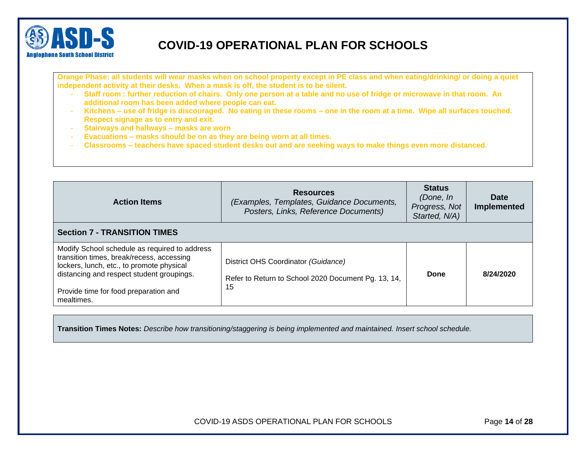

**Orange Phase: all students will wear masks when on school property except in PE class and when eating/drinking/ or doing a quiet independent activity at their desks. When a mask is off, the student is to be silent.** 

- **Staff room : further reduction of chairs. Only one person at a table and no use of fridge or microwave in that room. An additional room has been added where people can eat.**
- **Kitchens – use of fridge is discouraged. No eating in these rooms – one in the room at a time. Wipe all surfaces touched. Respect signage as to entry and exit.**
- **Stairways and hallways – masks are worn**
- **Evacuations – masks should be on as they are being worn at all times.**
- **Classrooms – teachers have spaced student desks out and are seeking ways to make things even more distanced.**

<span id="page-13-0"></span>

| <b>Action Items</b>                                                                                                                                                                                                                         | <b>Resources</b><br>(Examples, Templates, Guidance Documents,<br>Posters, Links, Reference Documents) | <b>Status</b><br>(Done, In<br>Progress, Not<br>Started, N/A) | <b>Date</b><br><b>Implemented</b> |
|---------------------------------------------------------------------------------------------------------------------------------------------------------------------------------------------------------------------------------------------|-------------------------------------------------------------------------------------------------------|--------------------------------------------------------------|-----------------------------------|
| <b>Section 7 - TRANSITION TIMES</b>                                                                                                                                                                                                         |                                                                                                       |                                                              |                                   |
| Modify School schedule as required to address<br>transition times, break/recess, accessing<br>lockers, lunch, etc., to promote physical<br>distancing and respect student groupings.<br>Provide time for food preparation and<br>mealtimes. | District OHS Coordinator (Guidance)<br>Refer to Return to School 2020 Document Pg. 13, 14,<br>15      | Done                                                         | 8/24/2020                         |

**Transition Times Notes:** *Describe how transitioning/staggering is being implemented and maintained. Insert school schedule.* 

COVID-19 ASDS OPERATIONAL PLAN FOR SCHOOLS Page **14** of **28**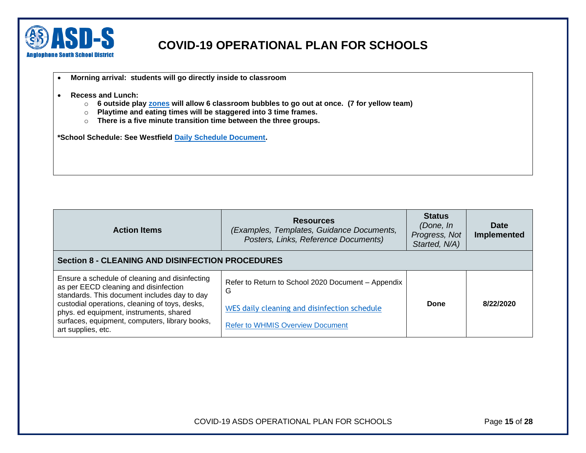

- **Morning arrival: students will go directly inside to classroom**
- **Recess and Lunch:** 
	- o **6 outside play [zones](Outdoor%20play%20zones%20for%20bubbles.jpg) will allow 6 classroom bubbles to go out at once. (7 for yellow team)**
	- o **Playtime and eating times will be staggered into 3 time frames.**
	- o **There is a five minute transition time between the three groups.**

**\*School Schedule: See Westfield [Daily Schedule Document.](Westfield%20Daily%20Schedule%20for%202020.docx)** 

<span id="page-14-0"></span>

| <b>Action Items</b>                                                                                                                         | <b>Resources</b><br>(Examples, Templates, Guidance Documents,<br>Posters, Links, Reference Documents) | <b>Status</b><br>(Done, In<br>Progress, Not<br>Started, N/A) | <b>Date</b><br>Implemented |
|---------------------------------------------------------------------------------------------------------------------------------------------|-------------------------------------------------------------------------------------------------------|--------------------------------------------------------------|----------------------------|
| <b>Section 8 - CLEANING AND DISINFECTION PROCEDURES</b>                                                                                     |                                                                                                       |                                                              |                            |
| Ensure a schedule of cleaning and disinfecting<br>as per EECD cleaning and disinfection<br>standards. This document includes day to day     | Refer to Return to School 2020 Document - Appendix<br>G                                               |                                                              |                            |
| custodial operations, cleaning of toys, desks,<br>phys. ed equipment, instruments, shared<br>surfaces, equipment, computers, library books, | WES daily cleaning and disinfection schedule<br><b>Refer to WHMIS Overview Document</b>               | Done                                                         | 8/22/2020                  |
| art supplies, etc.                                                                                                                          |                                                                                                       |                                                              |                            |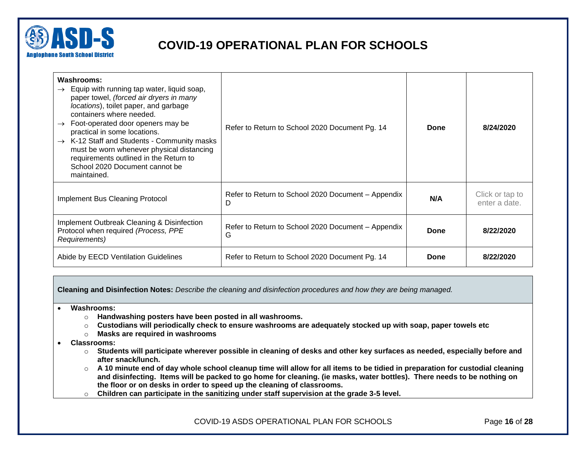

| Washrooms:<br>$\rightarrow$ Equip with running tap water, liquid soap,<br>paper towel, (forced air dryers in many<br>locations), toilet paper, and garbage<br>containers where needed.<br>Foot-operated door openers may be<br>$\rightarrow$<br>practical in some locations.<br>$\rightarrow$ K-12 Staff and Students - Community masks<br>must be worn whenever physical distancing<br>requirements outlined in the Return to<br>School 2020 Document cannot be<br>maintained. | Refer to Return to School 2020 Document Pg. 14          | Done        | 8/24/2020                        |
|---------------------------------------------------------------------------------------------------------------------------------------------------------------------------------------------------------------------------------------------------------------------------------------------------------------------------------------------------------------------------------------------------------------------------------------------------------------------------------|---------------------------------------------------------|-------------|----------------------------------|
| Implement Bus Cleaning Protocol                                                                                                                                                                                                                                                                                                                                                                                                                                                 | Refer to Return to School 2020 Document – Appendix<br>D | N/A         | Click or tap to<br>enter a date. |
| Implement Outbreak Cleaning & Disinfection<br>Protocol when required (Process, PPE<br>Requirements)                                                                                                                                                                                                                                                                                                                                                                             | Refer to Return to School 2020 Document - Appendix<br>G | <b>Done</b> | 8/22/2020                        |
| Abide by EECD Ventilation Guidelines                                                                                                                                                                                                                                                                                                                                                                                                                                            | Refer to Return to School 2020 Document Pg. 14          | Done        | 8/22/2020                        |

**Cleaning and Disinfection Notes:** *Describe the cleaning and disinfection procedures and how they are being managed.*

#### • **Washrooms:**

- o **Handwashing posters have been posted in all washrooms.**
- o **Custodians will periodically check to ensure washrooms are adequately stocked up with soap, paper towels etc**
- o **Masks are required in washrooms**
- **Classrooms:** 
	- o **Students will participate wherever possible in cleaning of desks and other key surfaces as needed, especially before and after snack/lunch.**
	- o **A 10 minute end of day whole school cleanup time will allow for all items to be tidied in preparation for custodial cleaning and disinfecting. Items will be packed to go home for cleaning. (ie masks, water bottles). There needs to be nothing on the floor or on desks in order to speed up the cleaning of classrooms.**
	- o **Children can participate in the sanitizing under staff supervision at the grade 3-5 level.**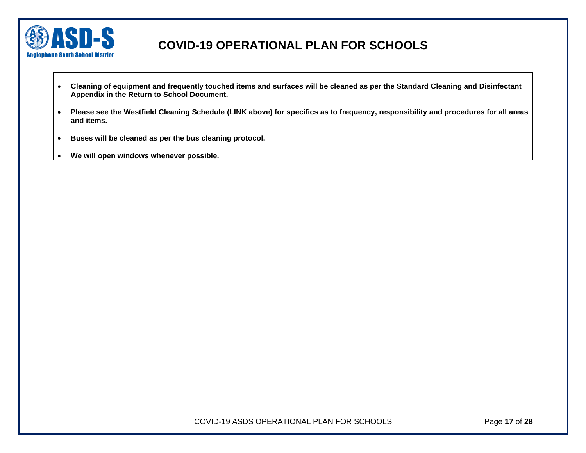

- **Cleaning of equipment and frequently touched items and surfaces will be cleaned as per the Standard Cleaning and Disinfectant Appendix in the Return to School Document.**
- **Please see the Westfield Cleaning Schedule (LINK above) for specifics as to frequency, responsibility and procedures for all areas and items.**
- **Buses will be cleaned as per the bus cleaning protocol.**
- **We will open windows whenever possible.**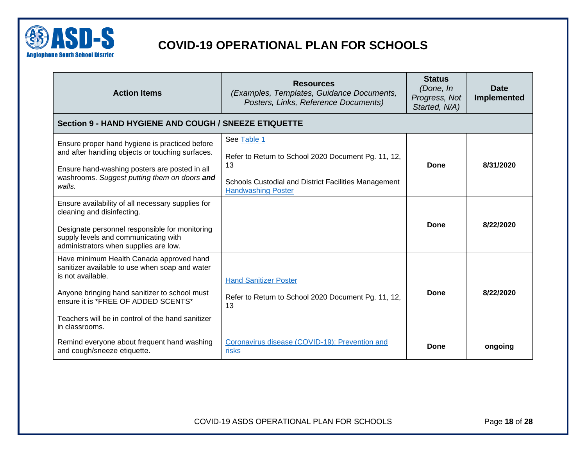

<span id="page-17-0"></span>

| <b>Action Items</b>                                                                                                                                                                                                                                                            | <b>Resources</b><br>(Examples, Templates, Guidance Documents,<br>Posters, Links, Reference Documents)                                                         | <b>Status</b><br>(Done, In<br>Progress, Not<br>Started, N/A) | <b>Date</b><br>Implemented |
|--------------------------------------------------------------------------------------------------------------------------------------------------------------------------------------------------------------------------------------------------------------------------------|---------------------------------------------------------------------------------------------------------------------------------------------------------------|--------------------------------------------------------------|----------------------------|
| Section 9 - HAND HYGIENE AND COUGH / SNEEZE ETIQUETTE                                                                                                                                                                                                                          |                                                                                                                                                               |                                                              |                            |
| Ensure proper hand hygiene is practiced before<br>and after handling objects or touching surfaces.<br>Ensure hand-washing posters are posted in all<br>washrooms. Suggest putting them on doors and<br>walls.                                                                  | See Table 1<br>Refer to Return to School 2020 Document Pg. 11, 12,<br>13<br>Schools Custodial and District Facilities Management<br><b>Handwashing Poster</b> | Done                                                         | 8/31/2020                  |
| Ensure availability of all necessary supplies for<br>cleaning and disinfecting.<br>Designate personnel responsible for monitoring<br>supply levels and communicating with<br>administrators when supplies are low.                                                             |                                                                                                                                                               | Done                                                         | 8/22/2020                  |
| Have minimum Health Canada approved hand<br>sanitizer available to use when soap and water<br>is not available.<br>Anyone bringing hand sanitizer to school must<br>ensure it is *FREE OF ADDED SCENTS*<br>Teachers will be in control of the hand sanitizer<br>in classrooms. | <b>Hand Sanitizer Poster</b><br>Refer to Return to School 2020 Document Pg. 11, 12,<br>13                                                                     | Done                                                         | 8/22/2020                  |
| Remind everyone about frequent hand washing<br>and cough/sneeze etiquette.                                                                                                                                                                                                     | Coronavirus disease (COVID-19): Prevention and<br>risks                                                                                                       | Done                                                         | ongoing                    |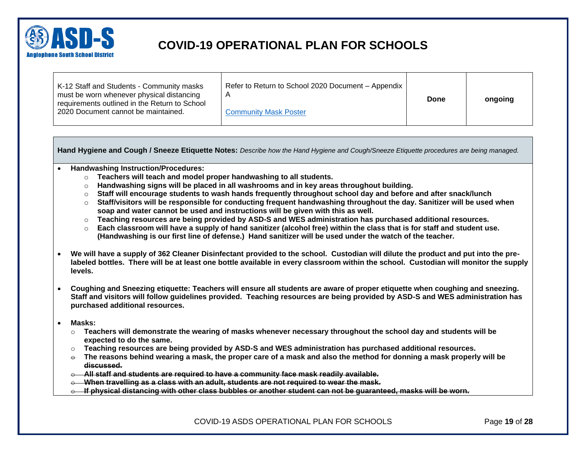

| K-12 Staff and Students - Community masks<br>must be worn whenever physical distancing<br>requirements outlined in the Return to School<br>2020 Document cannot be maintained. | Refer to Return to School 2020 Document - Appendix<br><b>Community Mask Poster</b> | Done | ongoing |
|--------------------------------------------------------------------------------------------------------------------------------------------------------------------------------|------------------------------------------------------------------------------------|------|---------|
|--------------------------------------------------------------------------------------------------------------------------------------------------------------------------------|------------------------------------------------------------------------------------|------|---------|

**Hand Hygiene and Cough / Sneeze Etiquette Notes:** *Describe how the Hand Hygiene and Cough/Sneeze Etiquette procedures are being managed.*

- **Handwashing Instruction/Procedures:**
	- o **Teachers will teach and model proper handwashing to all students.**
	- o **Handwashing signs will be placed in all washrooms and in key areas throughout building.**
	- o **Staff will encourage students to wash hands frequently throughout school day and before and after snack/lunch**
	- o **Staff/visitors will be responsible for conducting frequent handwashing throughout the day. Sanitizer will be used when soap and water cannot be used and instructions will be given with this as well.**
	- o **Teaching resources are being provided by ASD-S and WES administration has purchased additional resources.**
	- o **Each classroom will have a supply of hand sanitizer (alcohol free) within the class that is for staff and student use. (Handwashing is our first line of defense.) Hand sanitizer will be used under the watch of the teacher.**
- **We will have a supply of 362 Cleaner Disinfectant provided to the school. Custodian will dilute the product and put into the prelabeled bottles. There will be at least one bottle available in every classroom within the school. Custodian will monitor the supply levels.**
- **Coughing and Sneezing etiquette: Teachers will ensure all students are aware of proper etiquette when coughing and sneezing. Staff and visitors will follow guidelines provided. Teaching resources are being provided by ASD-S and WES administration has purchased additional resources.**
- **Masks:** 
	- o **Teachers will demonstrate the wearing of masks whenever necessary throughout the school day and students will be expected to do the same.**
	- o **Teaching resources are being provided by ASD-S and WES administration has purchased additional resources.**
	- $\div$  The reasons behind wearing a mask, the proper care of a mask and also the method for donning a mask properly will be **discussed.**
	- o **All staff and students are required to have a community face mask readily available.**
	- o **When travelling as a class with an adult, students are not required to wear the mask.**
	- o **If physical distancing with other class bubbles or another student can not be guaranteed, masks will be worn.**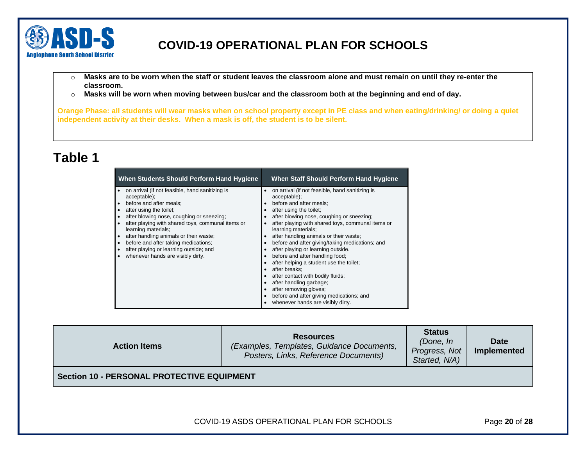

- o **Masks are to be worn when the staff or student leaves the classroom alone and must remain on until they re-enter the classroom.**
- o **Masks will be worn when moving between bus/car and the classroom both at the beginning and end of day.**

**Orange Phase: all students will wear masks when on school property except in PE class and when eating/drinking/ or doing a quiet independent activity at their desks. When a mask is off, the student is to be silent.** 

# <span id="page-19-1"></span>**Table 1**

| When Students Should Perform Hand Hygiene         | When Staff Should Perform Hand Hygiene            |
|---------------------------------------------------|---------------------------------------------------|
| on arrival (if not feasible, hand sanitizing is   | on arrival (if not feasible, hand sanitizing is   |
| acceptable);                                      | acceptable);                                      |
| before and after meals;                           | before and after meals;                           |
| after using the toilet;                           | after using the toilet:                           |
| after blowing nose, coughing or sneezing;         | after blowing nose, coughing or sneezing;         |
| after playing with shared toys, communal items or | after playing with shared toys, communal items or |
| learning materials;                               | learning materials;                               |
| after handling animals or their waste;            | after handling animals or their waste;            |
| before and after taking medications;              | before and after giving/taking medications; and   |
| after playing or learning outside; and            | after playing or learning outside.                |
| whenever hands are visibly dirty.                 | before and after handling food;                   |
|                                                   | after helping a student use the toilet;           |
|                                                   | after breaks:                                     |
|                                                   | after contact with bodily fluids;                 |
|                                                   | after handling garbage;                           |
|                                                   | after removing gloves;                            |
|                                                   | before and after giving medications; and          |
|                                                   | whenever hands are visibly dirty.                 |

<span id="page-19-0"></span>

| <b>Action Items</b>                               | <b>Resources</b><br>(Examples, Templates, Guidance Documents,<br>Posters, Links, Reference Documents) | <b>Status</b><br>(Done, In<br>Progress, Not<br>Started, N/A) | Date<br>Implemented |
|---------------------------------------------------|-------------------------------------------------------------------------------------------------------|--------------------------------------------------------------|---------------------|
| <b>Section 10 - PERSONAL PROTECTIVE EQUIPMENT</b> |                                                                                                       |                                                              |                     |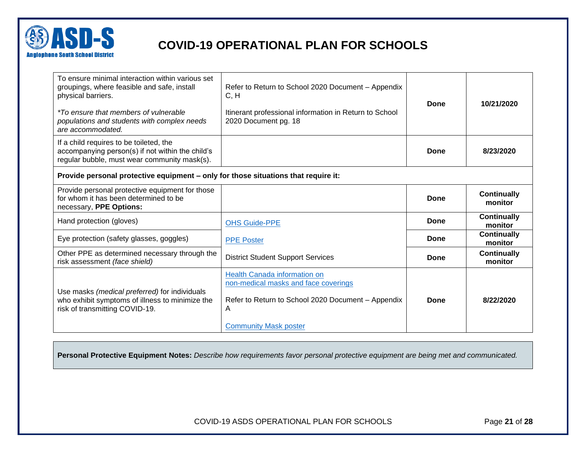

| To ensure minimal interaction within various set<br>groupings, where feasible and safe, install<br>physical barriers.<br><i>*To ensure that members of vulnerable</i><br>populations and students with complex needs<br>are accommodated. | Refer to Return to School 2020 Document - Appendix<br>C, H<br>Itinerant professional information in Return to School<br>2020 Document pg. 18                    | <b>Done</b> | 10/21/2020                    |
|-------------------------------------------------------------------------------------------------------------------------------------------------------------------------------------------------------------------------------------------|-----------------------------------------------------------------------------------------------------------------------------------------------------------------|-------------|-------------------------------|
| If a child requires to be toileted, the<br>accompanying person(s) if not within the child's<br>regular bubble, must wear community mask(s).                                                                                               |                                                                                                                                                                 | Done        | 8/23/2020                     |
| Provide personal protective equipment - only for those situations that require it:                                                                                                                                                        |                                                                                                                                                                 |             |                               |
| Provide personal protective equipment for those<br>for whom it has been determined to be<br>necessary, PPE Options:                                                                                                                       |                                                                                                                                                                 | Done        | <b>Continually</b><br>monitor |
| Hand protection (gloves)                                                                                                                                                                                                                  | <b>OHS Guide-PPE</b>                                                                                                                                            | Done        | <b>Continually</b><br>monitor |
| Eye protection (safety glasses, goggles)                                                                                                                                                                                                  | <b>PPE Poster</b>                                                                                                                                               | Done        | <b>Continually</b><br>monitor |
| Other PPE as determined necessary through the<br>risk assessment (face shield)                                                                                                                                                            | <b>District Student Support Services</b>                                                                                                                        | Done        | <b>Continually</b><br>monitor |
| Use masks (medical preferred) for individuals<br>who exhibit symptoms of illness to minimize the<br>risk of transmitting COVID-19.                                                                                                        | Health Canada information on<br>non-medical masks and face coverings<br>Refer to Return to School 2020 Document - Appendix<br>A<br><b>Community Mask poster</b> | Done        | 8/22/2020                     |

**Personal Protective Equipment Notes:** *Describe how requirements favor personal protective equipment are being met and communicated.*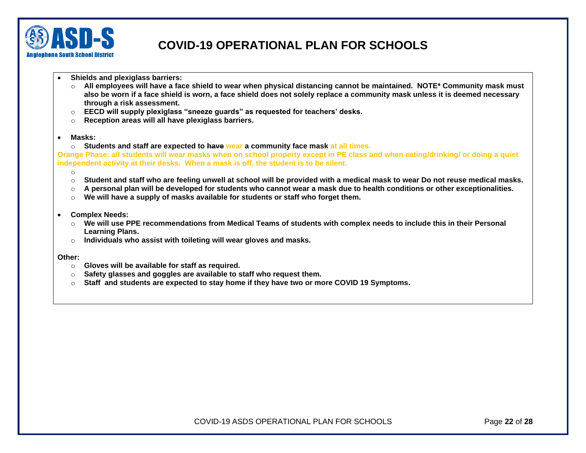

- **Shields and plexiglass barriers:**
	- o **All employees will have a face shield to wear when physical distancing cannot be maintained. NOTE\* Community mask must also be worn if a face shield is worn, a face shield does not solely replace a community mask unless it is deemed necessary through a risk assessment.**
	- o **EECD will supply plexiglass "sneeze guards" as requested for teachers' desks.**
	- o **Reception areas will all have plexiglass barriers.**
- **Masks:**
	- o **Students and staff are expected to have wear a community face mask at all times.**

**Orange Phase: all students will wear masks when on school property except in PE class and when eating/drinking/ or doing a quiet independent activity at their desks. When a mask is off, the student is to be silent.** 

- o
- o **Student and staff who are feeling unwell at school will be provided with a medical mask to wear Do not reuse medical masks.**
- o **A personal plan will be developed for students who cannot wear a mask due to health conditions or other exceptionalities.**
- o **We will have a supply of masks available for students or staff who forget them.**
- **Complex Needs:**
	- o **We will use PPE recommendations from Medical Teams of students with complex needs to include this in their Personal Learning Plans.**
	- o **Individuals who assist with toileting will wear gloves and masks.**
- **Other:** 
	- o **Gloves will be available for staff as required.**
	- o **Safety glasses and goggles are available to staff who request them.**
	- o **Staff and students are expected to stay home if they have two or more COVID 19 Symptoms.**

COVID-19 ASDS OPERATIONAL PLAN FOR SCHOOLS Page **22** of **28**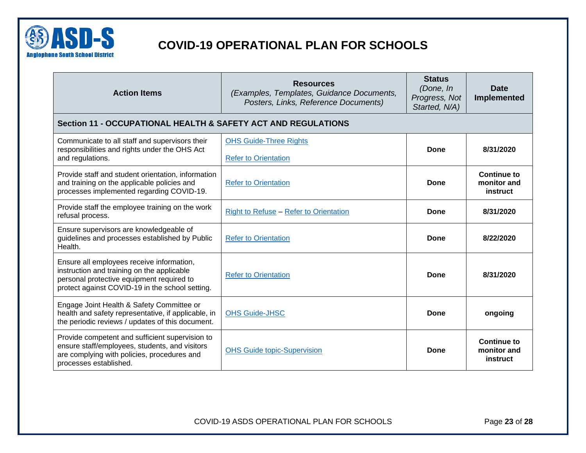

<span id="page-22-0"></span>

| <b>Action Items</b>                                                                                                                                                                     | <b>Resources</b><br>(Examples, Templates, Guidance Documents,<br>Posters, Links, Reference Documents) | <b>Status</b><br>(Done, In<br>Progress, Not<br>Started, N/A) | <b>Date</b><br>Implemented                    |
|-----------------------------------------------------------------------------------------------------------------------------------------------------------------------------------------|-------------------------------------------------------------------------------------------------------|--------------------------------------------------------------|-----------------------------------------------|
| Section 11 - OCCUPATIONAL HEALTH & SAFETY ACT AND REGULATIONS                                                                                                                           |                                                                                                       |                                                              |                                               |
| Communicate to all staff and supervisors their<br>responsibilities and rights under the OHS Act<br>and regulations.                                                                     | <b>OHS Guide-Three Rights</b><br><b>Refer to Orientation</b>                                          | Done                                                         | 8/31/2020                                     |
| Provide staff and student orientation, information<br>and training on the applicable policies and<br>processes implemented regarding COVID-19.                                          | <b>Refer to Orientation</b>                                                                           | <b>Done</b>                                                  | <b>Continue to</b><br>monitor and<br>instruct |
| Provide staff the employee training on the work<br>refusal process.                                                                                                                     | Right to Refuse - Refer to Orientation                                                                | Done                                                         | 8/31/2020                                     |
| Ensure supervisors are knowledgeable of<br>guidelines and processes established by Public<br>Health.                                                                                    | <b>Refer to Orientation</b>                                                                           | Done                                                         | 8/22/2020                                     |
| Ensure all employees receive information,<br>instruction and training on the applicable<br>personal protective equipment required to<br>protect against COVID-19 in the school setting. | <b>Refer to Orientation</b>                                                                           | Done                                                         | 8/31/2020                                     |
| Engage Joint Health & Safety Committee or<br>health and safety representative, if applicable, in<br>the periodic reviews / updates of this document.                                    | <b>OHS Guide-JHSC</b>                                                                                 | Done                                                         | ongoing                                       |
| Provide competent and sufficient supervision to<br>ensure staff/employees, students, and visitors<br>are complying with policies, procedures and<br>processes established.              | <b>OHS Guide topic-Supervision</b>                                                                    | Done                                                         | <b>Continue to</b><br>monitor and<br>instruct |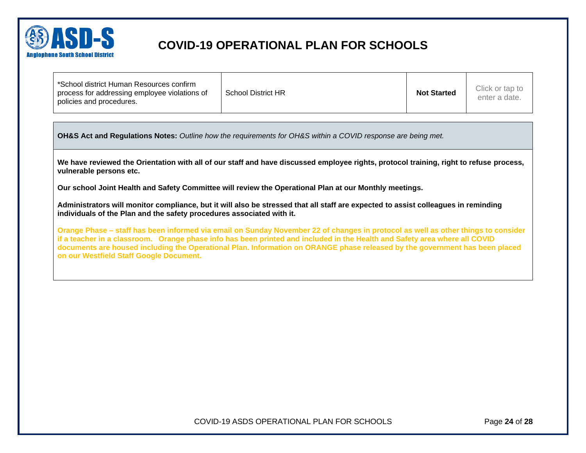

| *School district Human Resources confirm<br>process for addressing employee violations of<br>policies and procedures. | <b>School District HR</b> | <b>Not Started</b> | Click or tap to<br>enter a date. |
|-----------------------------------------------------------------------------------------------------------------------|---------------------------|--------------------|----------------------------------|
|-----------------------------------------------------------------------------------------------------------------------|---------------------------|--------------------|----------------------------------|

**OH&S Act and Regulations Notes:** *Outline how the requirements for OH&S within a COVID response are being met.*

**We have reviewed the Orientation with all of our staff and have discussed employee rights, protocol training, right to refuse process, vulnerable persons etc.**

**Our school Joint Health and Safety Committee will review the Operational Plan at our Monthly meetings.** 

**Administrators will monitor compliance, but it will also be stressed that all staff are expected to assist colleagues in reminding individuals of the Plan and the safety procedures associated with it.**

**Orange Phase – staff has been informed via email on Sunday November 22 of changes in protocol as well as other things to consider if a teacher in a classroom. Orange phase info has been printed and included in the Health and Safety area where all COVID documents are housed including the Operational Plan. Information on ORANGE phase released by the government has been placed on our Westfield Staff Google Document.**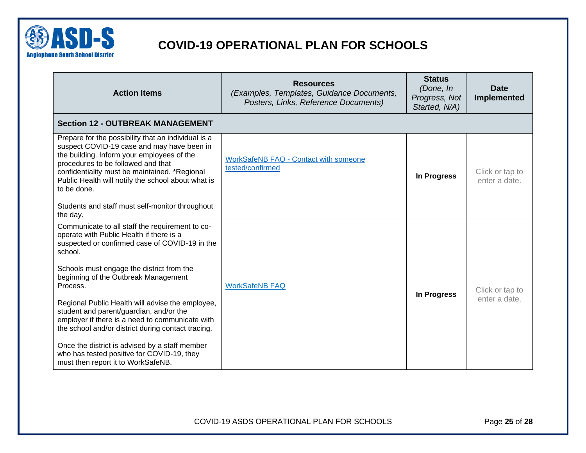

<span id="page-24-0"></span>

| <b>Action Items</b>                                                                                                                                                                                                                                                                                         | <b>Resources</b><br>(Examples, Templates, Guidance Documents,<br>Posters, Links, Reference Documents) | <b>Status</b><br>(Done, In<br>Progress, Not<br>Started, N/A) | <b>Date</b><br>Implemented       |
|-------------------------------------------------------------------------------------------------------------------------------------------------------------------------------------------------------------------------------------------------------------------------------------------------------------|-------------------------------------------------------------------------------------------------------|--------------------------------------------------------------|----------------------------------|
| <b>Section 12 - OUTBREAK MANAGEMENT</b>                                                                                                                                                                                                                                                                     |                                                                                                       |                                                              |                                  |
| Prepare for the possibility that an individual is a<br>suspect COVID-19 case and may have been in<br>the building. Inform your employees of the<br>procedures to be followed and that<br>confidentiality must be maintained. *Regional<br>Public Health will notify the school about what is<br>to be done. | <b>WorkSafeNB FAQ - Contact with someone</b><br>tested/confirmed                                      | In Progress                                                  | Click or tap to<br>enter a date. |
| Students and staff must self-monitor throughout<br>the day.                                                                                                                                                                                                                                                 |                                                                                                       |                                                              |                                  |
| Communicate to all staff the requirement to co-<br>operate with Public Health if there is a<br>suspected or confirmed case of COVID-19 in the<br>school.                                                                                                                                                    |                                                                                                       |                                                              |                                  |
| Schools must engage the district from the<br>beginning of the Outbreak Management<br>Process.                                                                                                                                                                                                               | <b>WorkSafeNB FAQ</b>                                                                                 | In Progress                                                  | Click or tap to                  |
| Regional Public Health will advise the employee,<br>student and parent/guardian, and/or the<br>employer if there is a need to communicate with<br>the school and/or district during contact tracing.                                                                                                        |                                                                                                       |                                                              | enter a date.                    |
| Once the district is advised by a staff member<br>who has tested positive for COVID-19, they<br>must then report it to WorkSafeNB.                                                                                                                                                                          |                                                                                                       |                                                              |                                  |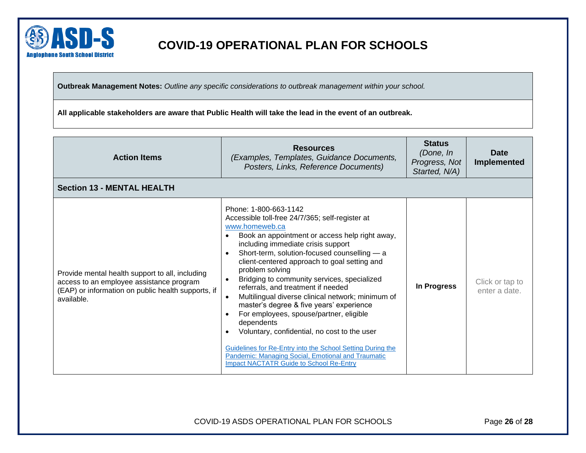

**Outbreak Management Notes:** *Outline any specific considerations to outbreak management within your school.* 

**All applicable stakeholders are aware that Public Health will take the lead in the event of an outbreak.** 

<span id="page-25-0"></span>

| <b>Action Items</b>                                                                                                                                             | <b>Resources</b><br>(Examples, Templates, Guidance Documents,<br>Posters, Links, Reference Documents)                                                                                                                                                                                                                                                                                                                                                                                                                                                                                                                                                                                                                                                                      | <b>Status</b><br>(Done, In<br>Progress, Not<br>Started, N/A) | Date<br><b>Implemented</b>       |
|-----------------------------------------------------------------------------------------------------------------------------------------------------------------|----------------------------------------------------------------------------------------------------------------------------------------------------------------------------------------------------------------------------------------------------------------------------------------------------------------------------------------------------------------------------------------------------------------------------------------------------------------------------------------------------------------------------------------------------------------------------------------------------------------------------------------------------------------------------------------------------------------------------------------------------------------------------|--------------------------------------------------------------|----------------------------------|
| <b>Section 13 - MENTAL HEALTH</b>                                                                                                                               |                                                                                                                                                                                                                                                                                                                                                                                                                                                                                                                                                                                                                                                                                                                                                                            |                                                              |                                  |
| Provide mental health support to all, including<br>access to an employee assistance program<br>(EAP) or information on public health supports, if<br>available. | Phone: 1-800-663-1142<br>Accessible toll-free 24/7/365; self-register at<br>www.homeweb.ca<br>Book an appointment or access help right away,<br>including immediate crisis support<br>Short-term, solution-focused counselling - a<br>client-centered approach to goal setting and<br>problem solving<br>Bridging to community services, specialized<br>referrals, and treatment if needed<br>Multilingual diverse clinical network; minimum of<br>master's degree & five years' experience<br>For employees, spouse/partner, eligible<br>dependents<br>Voluntary, confidential, no cost to the user<br>Guidelines for Re-Entry into the School Setting During the<br>Pandemic: Managing Social, Emotional and Traumatic<br><b>Impact NACTATR Guide to School Re-Entry</b> | In Progress                                                  | Click or tap to<br>enter a date. |

COVID-19 ASDS OPERATIONAL PLAN FOR SCHOOLS Page **26** of **28**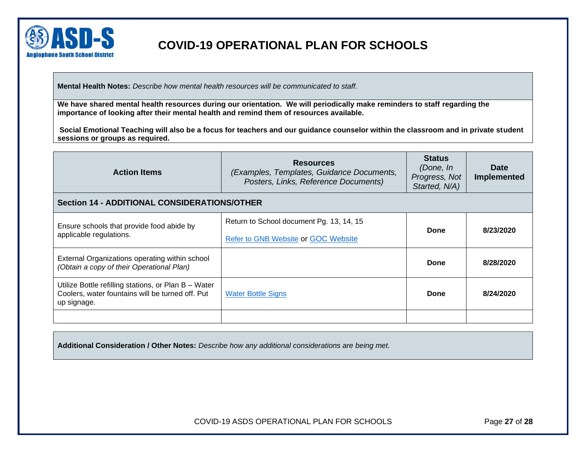

**Mental Health Notes:** *Describe how mental health resources will be communicated to staff.*

**We have shared mental health resources during our orientation. We will periodically make reminders to staff regarding the importance of looking after their mental health and remind them of resources available.**

**Social Emotional Teaching will also be a focus for teachers and our guidance counselor within the classroom and in private student sessions or groups as required.**

<span id="page-26-0"></span>

| <b>Action Items</b>                                                                                                     | <b>Resources</b><br>(Examples, Templates, Guidance Documents,<br>Posters, Links, Reference Documents) | <b>Status</b><br>(Done, In<br>Progress, Not<br>Started, N/A) | Date<br>Implemented |
|-------------------------------------------------------------------------------------------------------------------------|-------------------------------------------------------------------------------------------------------|--------------------------------------------------------------|---------------------|
| <b>Section 14 - ADDITIONAL CONSIDERATIONS/OTHER</b>                                                                     |                                                                                                       |                                                              |                     |
| Ensure schools that provide food abide by<br>applicable regulations.                                                    | Return to School document Pg. 13, 14, 15                                                              | Done                                                         | 8/23/2020           |
|                                                                                                                         | Refer to GNB Website or GOC Website                                                                   |                                                              |                     |
| External Organizations operating within school<br>(Obtain a copy of their Operational Plan)                             |                                                                                                       | Done                                                         | 8/28/2020           |
| Utilize Bottle refilling stations, or Plan B - Water<br>Coolers, water fountains will be turned off. Put<br>up signage. | <b>Water Bottle Signs</b>                                                                             | Done                                                         | 8/24/2020           |
|                                                                                                                         |                                                                                                       |                                                              |                     |

**Additional Consideration / Other Notes:** *Describe how any additional considerations are being met.*

COVID-19 ASDS OPERATIONAL PLAN FOR SCHOOLS Page **27** of **28**